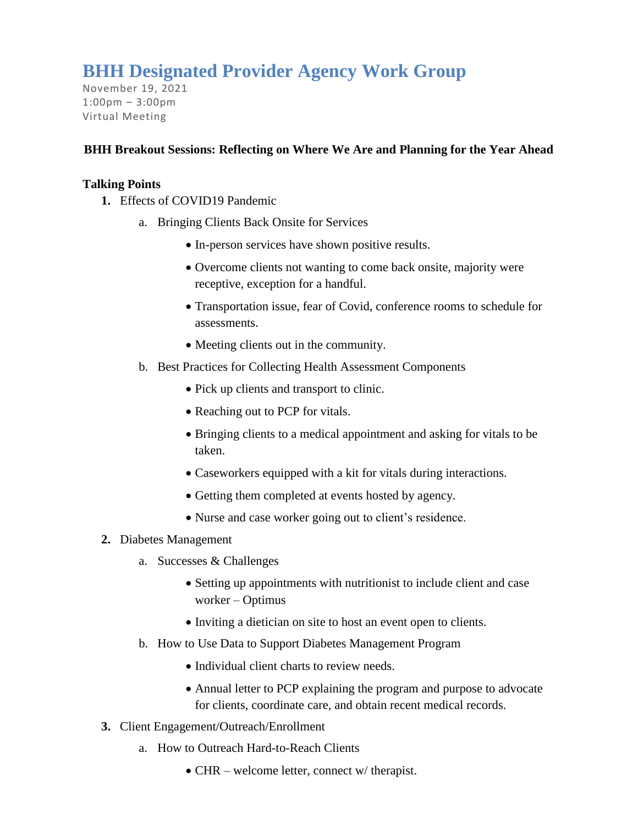## **BHH Designated Provider Agency Work Group**

November 19, 2021 1:00pm – 3:00pm Virtual Meeting

## **BHH Breakout Sessions: Reflecting on Where We Are and Planning for the Year Ahead**

## **Talking Points**

- **1.** Effects of COVID19 Pandemic
	- a. Bringing Clients Back Onsite for Services
		- In-person services have shown positive results.
		- Overcome clients not wanting to come back onsite, majority were receptive, exception for a handful.
		- Transportation issue, fear of Covid, conference rooms to schedule for assessments.
		- Meeting clients out in the community.
	- b. Best Practices for Collecting Health Assessment Components
		- Pick up clients and transport to clinic.
		- Reaching out to PCP for vitals.
		- Bringing clients to a medical appointment and asking for vitals to be taken.
		- Caseworkers equipped with a kit for vitals during interactions.
		- Getting them completed at events hosted by agency.
		- Nurse and case worker going out to client's residence.
- **2.** Diabetes Management
	- a. Successes & Challenges
		- Setting up appointments with nutritionist to include client and case worker – Optimus
		- Inviting a dietician on site to host an event open to clients.
	- b. How to Use Data to Support Diabetes Management Program
		- Individual client charts to review needs.
		- Annual letter to PCP explaining the program and purpose to advocate for clients, coordinate care, and obtain recent medical records.
- **3.** Client Engagement/Outreach/Enrollment
	- a. How to Outreach Hard-to-Reach Clients
		- CHR welcome letter, connect w/ therapist.